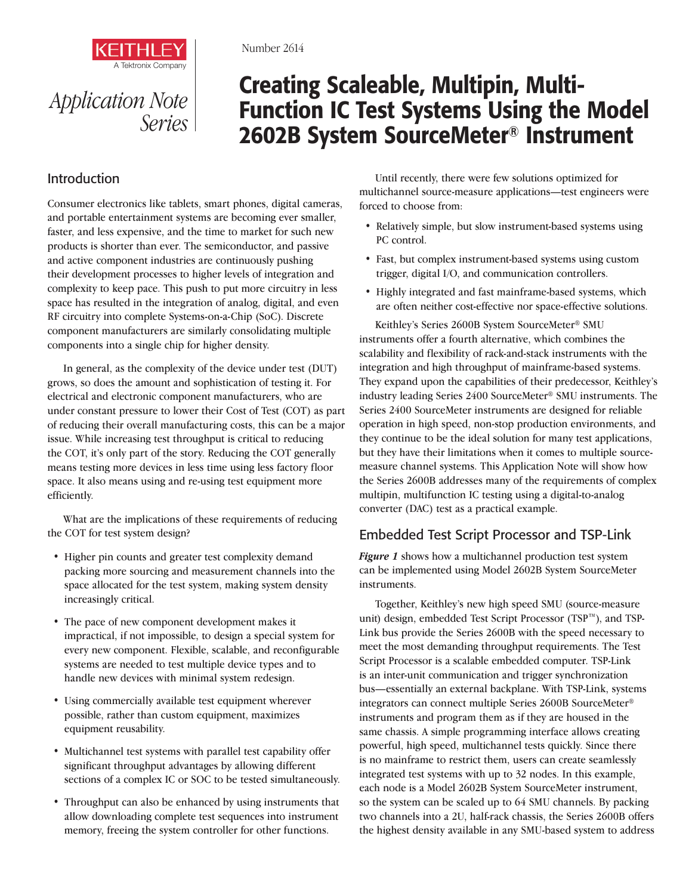

*Application Note Series*

#### Number 2614

# Creating Scaleable, Multipin, Multi-Function IC Test Systems Using the Model 2602B System SourceMeter® Instrument

# Introduction

Consumer electronics like tablets, smart phones, digital cameras, and portable entertainment systems are becoming ever smaller, faster, and less expensive, and the time to market for such new products is shorter than ever. The semiconductor, and passive and active component industries are continuously pushing their development processes to higher levels of integration and complexity to keep pace. This push to put more circuitry in less space has resulted in the integration of analog, digital, and even RF circuitry into complete Systems-on-a-Chip (SoC). Discrete component manufacturers are similarly consolidating multiple components into a single chip for higher density.

In general, as the complexity of the device under test (DUT) grows, so does the amount and sophistication of testing it. For electrical and electronic component manufacturers, who are under constant pressure to lower their Cost of Test (COT) as part of reducing their overall manufacturing costs, this can be a major issue. While increasing test throughput is critical to reducing the COT, it's only part of the story. Reducing the COT generally means testing more devices in less time using less factory floor space. It also means using and re-using test equipment more efficiently.

What are the implications of these requirements of reducing the COT for test system design?

- Higher pin counts and greater test complexity demand packing more sourcing and measurement channels into the space allocated for the test system, making system density increasingly critical.
- The pace of new component development makes it impractical, if not impossible, to design a special system for every new component. Flexible, scalable, and reconfigurable systems are needed to test multiple device types and to handle new devices with minimal system redesign.
- • Using commercially available test equipment wherever possible, rather than custom equipment, maximizes equipment reusability.
- Multichannel test systems with parallel test capability offer significant throughput advantages by allowing different sections of a complex IC or SOC to be tested simultaneously.
- Throughput can also be enhanced by using instruments that allow downloading complete test sequences into instrument memory, freeing the system controller for other functions.

Until recently, there were few solutions optimized for multichannel source-measure applications—test engineers were forced to choose from:

- Relatively simple, but slow instrument-based systems using PC control.
- Fast, but complex instrument-based systems using custom trigger, digital I/O, and communication controllers.
- Highly integrated and fast mainframe-based systems, which are often neither cost-effective nor space-effective solutions.

Keithley's Series 2600B System SourceMeter® SMU instruments offer a fourth alternative, which combines the scalability and flexibility of rack-and-stack instruments with the integration and high throughput of mainframe-based systems. They expand upon the capabilities of their predecessor, Keithley's industry leading Series 2400 SourceMeter® SMU instruments. The Series 2400 SourceMeter instruments are designed for reliable operation in high speed, non-stop production environments, and they continue to be the ideal solution for many test applications, but they have their limitations when it comes to multiple sourcemeasure channel systems. This Application Note will show how the Series 2600B addresses many of the requirements of complex multipin, multifunction IC testing using a digital-to-analog converter (DAC) test as a practical example.

## Embedded Test Script Processor and TSP-Link

*Figure 1* shows how a multichannel production test system can be implemented using Model 2602B System SourceMeter instruments.

Together, Keithley's new high speed SMU (source-measure unit) design, embedded Test Script Processor (TSP™), and TSP-Link bus provide the Series 2600B with the speed necessary to meet the most demanding throughput requirements. The Test Script Processor is a scalable embedded computer. TSP-Link is an inter-unit communication and trigger synchronization bus—essentially an external backplane. With TSP-Link, systems integrators can connect multiple Series 2600B SourceMeter® instruments and program them as if they are housed in the same chassis. A simple programming interface allows creating powerful, high speed, multichannel tests quickly. Since there is no mainframe to restrict them, users can create seamlessly integrated test systems with up to 32 nodes. In this example, each node is a Model 2602B System SourceMeter instrument, so the system can be scaled up to 64 SMU channels. By packing two channels into a 2U, half-rack chassis, the Series 2600B offers the highest density available in any SMU-based system to address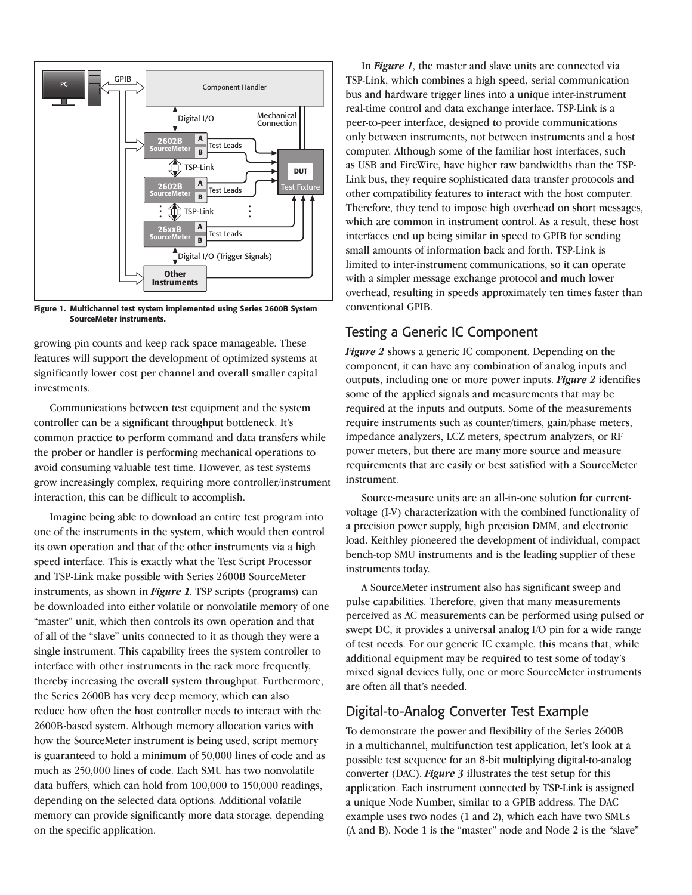

Figure 1. Multichannel test system implemented using Series 2600B System SourceMeter instruments.

growing pin counts and keep rack space manageable. These features will support the development of optimized systems at significantly lower cost per channel and overall smaller capital investments.

Communications between test equipment and the system controller can be a significant throughput bottleneck. It's common practice to perform command and data transfers while the prober or handler is performing mechanical operations to avoid consuming valuable test time. However, as test systems grow increasingly complex, requiring more controller/instrument interaction, this can be difficult to accomplish.

Imagine being able to download an entire test program into one of the instruments in the system, which would then control its own operation and that of the other instruments via a high speed interface. This is exactly what the Test Script Processor and TSP-Link make possible with Series 2600B SourceMeter instruments, as shown in *Figure 1*. TSP scripts (programs) can be downloaded into either volatile or nonvolatile memory of one "master" unit, which then controls its own operation and that of all of the "slave" units connected to it as though they were a single instrument. This capability frees the system controller to interface with other instruments in the rack more frequently, thereby increasing the overall system throughput. Furthermore, the Series 2600B has very deep memory, which can also reduce how often the host controller needs to interact with the 2600B-based system. Although memory allocation varies with how the SourceMeter instrument is being used, script memory is guaranteed to hold a minimum of 50,000 lines of code and as much as 250,000 lines of code. Each SMU has two nonvolatile data buffers, which can hold from 100,000 to 150,000 readings, depending on the selected data options. Additional volatile memory can provide significantly more data storage, depending on the specific application.

In *Figure 1*, the master and slave units are connected via TSP-Link, which combines a high speed, serial communication bus and hardware trigger lines into a unique inter-instrument real-time control and data exchange interface. TSP-Link is a peer-to-peer interface, designed to provide communications only between instruments, not between instruments and a host computer. Although some of the familiar host interfaces, such as USB and FireWire, have higher raw bandwidths than the TSP-Link bus, they require sophisticated data transfer protocols and other compatibility features to interact with the host computer. Therefore, they tend to impose high overhead on short messages, which are common in instrument control. As a result, these host interfaces end up being similar in speed to GPIB for sending small amounts of information back and forth. TSP-Link is limited to inter-instrument communications, so it can operate with a simpler message exchange protocol and much lower overhead, resulting in speeds approximately ten times faster than conventional GPIB.

### Testing a Generic IC Component

*Figure 2* shows a generic IC component. Depending on the component, it can have any combination of analog inputs and outputs, including one or more power inputs. *Figure 2* identifies some of the applied signals and measurements that may be required at the inputs and outputs. Some of the measurements require instruments such as counter/timers, gain/phase meters, impedance analyzers, LCZ meters, spectrum analyzers, or RF power meters, but there are many more source and measure requirements that are easily or best satisfied with a SourceMeter instrument.

Source-measure units are an all-in-one solution for currentvoltage (I-V) characterization with the combined functionality of a precision power supply, high precision DMM, and electronic load. Keithley pioneered the development of individual, compact bench-top SMU instruments and is the leading supplier of these instruments today.

A SourceMeter instrument also has significant sweep and pulse capabilities. Therefore, given that many measurements perceived as AC measurements can be performed using pulsed or swept DC, it provides a universal analog I/O pin for a wide range of test needs. For our generic IC example, this means that, while additional equipment may be required to test some of today's mixed signal devices fully, one or more SourceMeter instruments are often all that's needed.

## Digital-to-Analog Converter Test Example

To demonstrate the power and flexibility of the Series 2600B in a multichannel, multifunction test application, let's look at a possible test sequence for an 8-bit multiplying digital-to-analog converter (DAC). *Figure 3* illustrates the test setup for this application. Each instrument connected by TSP-Link is assigned a unique Node Number, similar to a GPIB address. The DAC example uses two nodes (1 and 2), which each have two SMUs (A and B). Node 1 is the "master" node and Node 2 is the "slave"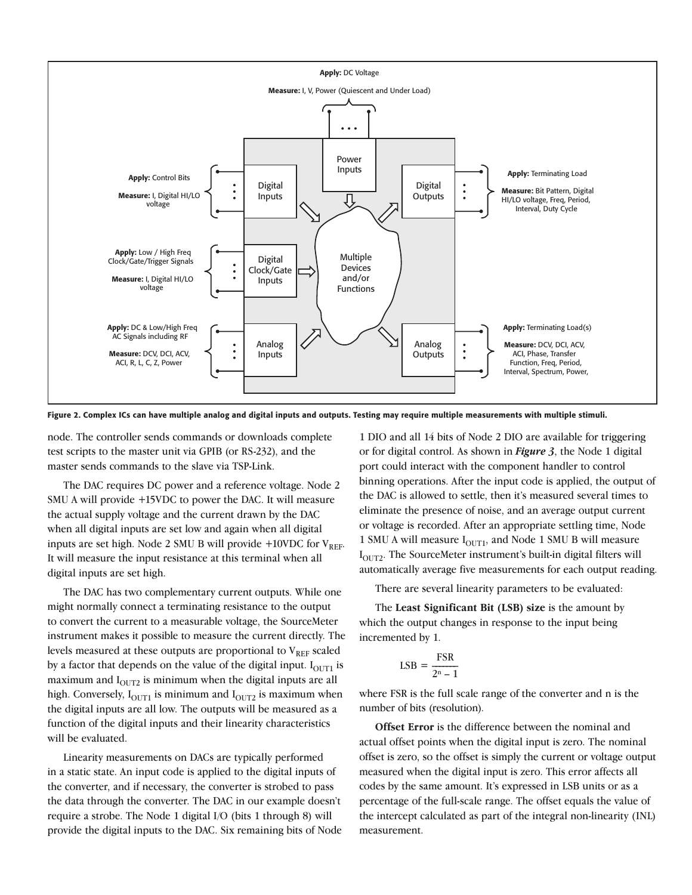

Figure 2. Complex ICs can have multiple analog and digital inputs and outputs. Testing may require multiple measurements with multiple stimuli.

node. The controller sends commands or downloads complete test scripts to the master unit via GPIB (or RS-232), and the master sends commands to the slave via TSP-Link.

The DAC requires DC power and a reference voltage. Node 2 SMU A will provide +15VDC to power the DAC. It will measure the actual supply voltage and the current drawn by the DAC when all digital inputs are set low and again when all digital inputs are set high. Node 2 SMU B will provide  $+10$ VDC for  $V_{REF}$ . It will measure the input resistance at this terminal when all digital inputs are set high.

The DAC has two complementary current outputs. While one might normally connect a terminating resistance to the output to convert the current to a measurable voltage, the SourceMeter instrument makes it possible to measure the current directly. The levels measured at these outputs are proportional to  $V_{REF}$  scaled by a factor that depends on the value of the digital input.  $I_{\text{OUT1}}$  is maximum and  $I<sub>OUT2</sub>$  is minimum when the digital inputs are all high. Conversely,  $I_{\text{OUT1}}$  is minimum and  $I_{\text{OUT2}}$  is maximum when the digital inputs are all low. The outputs will be measured as a function of the digital inputs and their linearity characteristics will be evaluated.

Linearity measurements on DACs are typically performed in a static state. An input code is applied to the digital inputs of the converter, and if necessary, the converter is strobed to pass the data through the converter. The DAC in our example doesn't require a strobe. The Node 1 digital I/O (bits 1 through 8) will provide the digital inputs to the DAC. Six remaining bits of Node

1 DIO and all 14 bits of Node 2 DIO are available for triggering or for digital control. As shown in *Figure 3*, the Node 1 digital port could interact with the component handler to control binning operations. After the input code is applied, the output of the DAC is allowed to settle, then it's measured several times to eliminate the presence of noise, and an average output current or voltage is recorded. After an appropriate settling time, Node 1 SMU A will measure  $I<sub>OUT1</sub>$ , and Node 1 SMU B will measure  $I<sub>OUT72</sub>$ . The SourceMeter instrument's built-in digital filters will automatically average five measurements for each output reading.

There are several linearity parameters to be evaluated:

The **Least Significant Bit (LSB) size** is the amount by which the output changes in response to the input being incremented by 1.

$$
LSB = \frac{FSR}{2^n - 1}
$$

where FSR is the full scale range of the converter and n is the number of bits (resolution).

**Offset Error** is the difference between the nominal and actual offset points when the digital input is zero. The nominal offset is zero, so the offset is simply the current or voltage output measured when the digital input is zero. This error affects all codes by the same amount. It's expressed in LSB units or as a percentage of the full-scale range. The offset equals the value of the intercept calculated as part of the integral non-linearity (INL) measurement.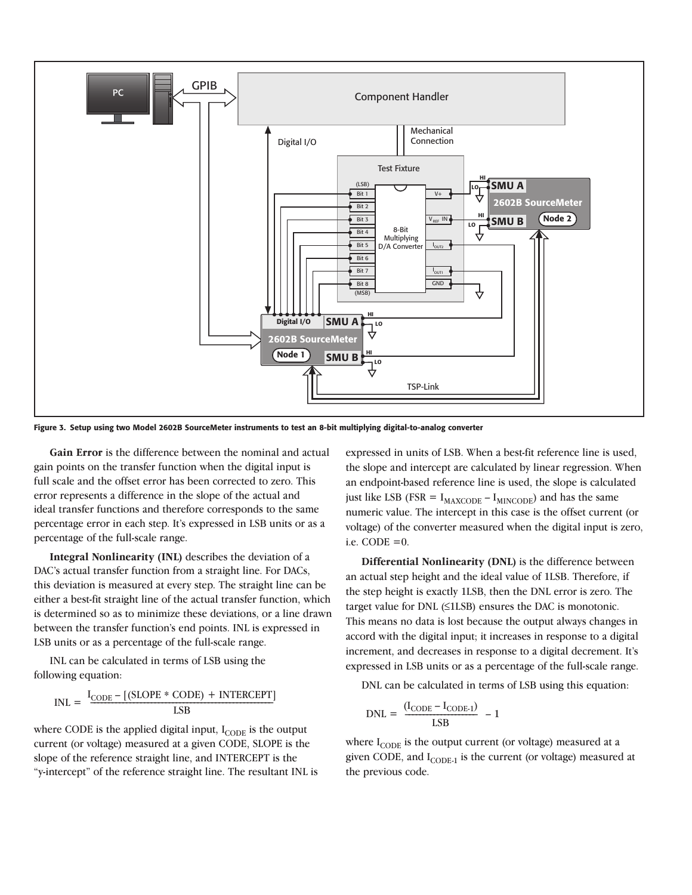

Figure 3. Setup using two Model 2602B SourceMeter instruments to test an 8-bit multiplying digital-to-analog converter

**Gain Error** is the difference between the nominal and actual gain points on the transfer function when the digital input is full scale and the offset error has been corrected to zero. This error represents a difference in the slope of the actual and ideal transfer functions and therefore corresponds to the same percentage error in each step. It's expressed in LSB units or as a percentage of the full-scale range.

**Integral Nonlinearity (INL)** describes the deviation of a DAC's actual transfer function from a straight line. For DACs, this deviation is measured at every step. The straight line can be either a best-fit straight line of the actual transfer function, which is determined so as to minimize these deviations, or a line drawn between the transfer function's end points. INL is expressed in LSB units or as a percentage of the full-scale range.

INL can be calculated in terms of LSB using the following equation:

$$
INL = \frac{I_{\text{CODE}} - [(SLOPE * CODE) + INTERCEPT]}{LSB}
$$

where CODE is the applied digital input,  $I_{\text{CODE}}$  is the output current (or voltage) measured at a given CODE, SLOPE is the slope of the reference straight line, and INTERCEPT is the "y-intercept" of the reference straight line. The resultant INL is

expressed in units of LSB. When a best-fit reference line is used, the slope and intercept are calculated by linear regression. When an endpoint-based reference line is used, the slope is calculated just like LSB (FSR =  $I_{MAXCODE} - I_{MINCODE}$ ) and has the same numeric value. The intercept in this case is the offset current (or voltage) of the converter measured when the digital input is zero, i.e.  $CODE = 0$ .

**Differential Nonlinearity (DNL)** is the difference between an actual step height and the ideal value of 1LSB. Therefore, if the step height is exactly 1LSB, then the DNL error is zero. The target value for DNL (≤1LSB) ensures the DAC is monotonic. This means no data is lost because the output always changes in accord with the digital input; it increases in response to a digital increment, and decreases in response to a digital decrement. It's expressed in LSB units or as a percentage of the full-scale range.

DNL can be calculated in terms of LSB using this equation:

$$
DNL = \frac{(I_{\text{CODE}} - I_{\text{CODE-1}})}{LSB} - 1
$$

where  $I_{\text{CODE}}$  is the output current (or voltage) measured at a given CODE, and I<sub>CODE-1</sub> is the current (or voltage) measured at the previous code.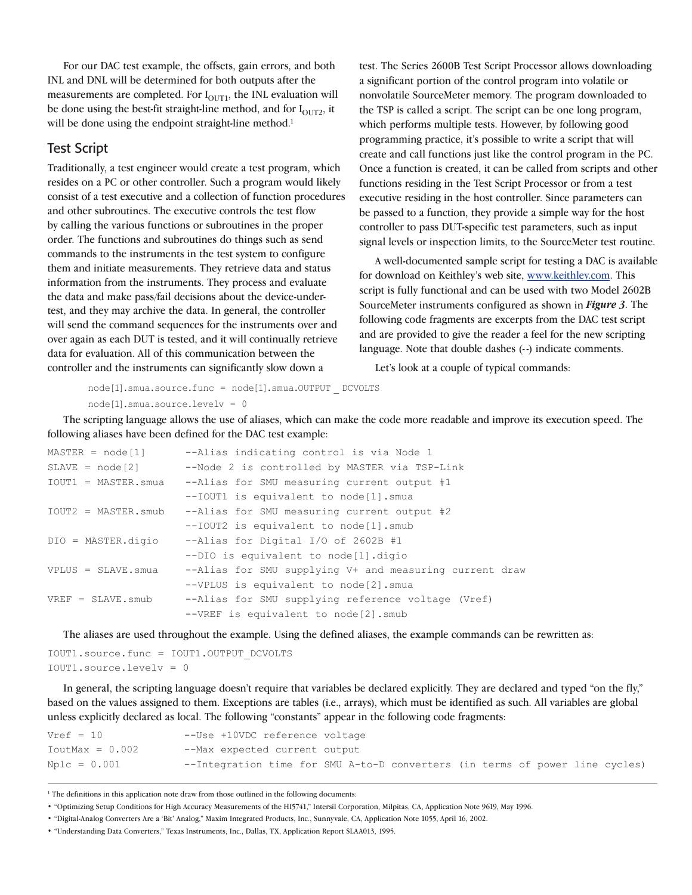For our DAC test example, the offsets, gain errors, and both INL and DNL will be determined for both outputs after the measurements are completed. For  $I<sub>OUT1</sub>$ , the INL evaluation will be done using the best-fit straight-line method, and for  $I<sub>OUT2</sub>$ , it will be done using the endpoint straight-line method.<sup>1</sup>

#### Test Script

Traditionally, a test engineer would create a test program, which resides on a PC or other controller. Such a program would likely consist of a test executive and a collection of function procedures and other subroutines. The executive controls the test flow by calling the various functions or subroutines in the proper order. The functions and subroutines do things such as send commands to the instruments in the test system to configure them and initiate measurements. They retrieve data and status information from the instruments. They process and evaluate the data and make pass/fail decisions about the device-undertest, and they may archive the data. In general, the controller will send the command sequences for the instruments over and over again as each DUT is tested, and it will continually retrieve data for evaluation. All of this communication between the controller and the instruments can significantly slow down a

test. The Series 2600B Test Script Processor allows downloading a significant portion of the control program into volatile or nonvolatile SourceMeter memory. The program downloaded to the TSP is called a script. The script can be one long program, which performs multiple tests. However, by following good programming practice, it's possible to write a script that will create and call functions just like the control program in the PC. Once a function is created, it can be called from scripts and other functions residing in the Test Script Processor or from a test executive residing in the host controller. Since parameters can be passed to a function, they provide a simple way for the host controller to pass DUT-specific test parameters, such as input signal levels or inspection limits, to the SourceMeter test routine.

A well-documented sample script for testing a DAC is available for download on Keithley's web site, www.keithley.com. This script is fully functional and can be used with two Model 2602B SourceMeter instruments configured as shown in *Figure 3*. The following code fragments are excerpts from the DAC test script and are provided to give the reader a feel for the new scripting language. Note that double dashes (--) indicate comments.

Let's look at a couple of typical commands:

```
node[1].smua.source.func = node[1].smua.OUTPUT _ DCVOLTS
node[1].smua.source.levelv = 0
```
The scripting language allows the use of aliases, which can make the code more readable and improve its execution speed. The following aliases have been defined for the DAC test example:

| $MASTER = node[1]$     | --Alias indicating control is via Node 1                |
|------------------------|---------------------------------------------------------|
| $SLAVE = node[2]$      | --Node 2 is controlled by MASTER via TSP-Link           |
| IOUT1 = MASTER.smua    | --Alias for SMU measuring current output #1             |
|                        | --IOUT1 is equivalent to node[1].smua                   |
| $IOUT2 = MASTER.sumb$  | --Alias for SMU measuring current output #2             |
|                        | --IOUT2 is equivalent to node[1].smub                   |
| $DIO = MASTER.diqio$   | --Alias for Digital I/O of 2602B #1                     |
|                        | --DIO is equivalent to node[1].digio                    |
| $VPLUS = SLAVE.\,smua$ | --Alias for SMU supplying V+ and measuring current draw |
|                        | --VPLUS is equivalent to node [2]. smua                 |
| $VREF = SLAVE.smub$    | --Alias for SMU supplying reference voltage (Vref)      |
|                        | --VREF is equivalent to node [2].smub                   |
|                        |                                                         |

The aliases are used throughout the example. Using the defined aliases, the example commands can be rewritten as:

IOUT1.source.func = IOUT1.OUTPUT\_DCVOLTS IOUT1.source.levelv = 0

In general, the scripting language doesn't require that variables be declared explicitly. They are declared and typed "on the fly," based on the values assigned to them. Exceptions are tables (i.e., arrays), which must be identified as such. All variables are global unless explicitly declared as local. The following "constants" appear in the following code fragments:

| $Vref = 10$       | --Use +10VDC reference voltage                                               |  |
|-------------------|------------------------------------------------------------------------------|--|
| $IoutMax = 0.002$ | --Max expected current output                                                |  |
| $Nplc = 0.001$    | --Integration time for SMU A-to-D converters (in terms of power line cycles) |  |

<sup>1</sup> The definitions in this application note draw from those outlined in the following documents:

<sup>• &</sup>quot;Optimizing Setup Conditions for High Accuracy Measurements of the HI5741," Intersil Corporation, Milpitas, CA, Application Note 9619, May 1996.

<sup>• &</sup>quot;Digital-Analog Converters Are a 'Bit' Analog," Maxim Integrated Products, Inc., Sunnyvale, CA, Application Note 1055, April 16, 2002.

<sup>• &</sup>quot;Understanding Data Converters," Texas Instruments, Inc., Dallas, TX, Application Report SLAA013, 1995.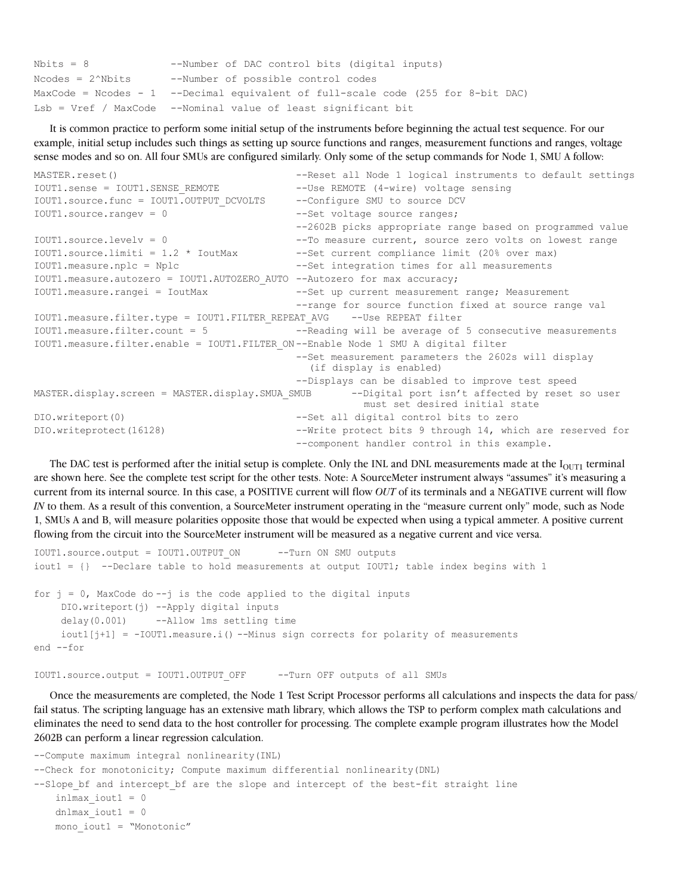```
Nbits = 8 --Number of DAC control bits (digital inputs)
Ncodes = 2^Nbits --Number of possible control codes
MaxCode = Ncodes - 1 --Decimal equivalent of full-scale code (255 for 8-bit DAC)
Lsb = Vref / MaxCode --Nominal value of least significant bit
```
It is common practice to perform some initial setup of the instruments before beginning the actual test sequence. For our example, initial setup includes such things as setting up source functions and ranges, measurement functions and ranges, voltage sense modes and so on. All four SMUs are configured similarly. Only some of the setup commands for Node 1, SMU A follow:

```
MASTER.reset() ---Reset all Node 1 logical instruments to default settings
IOUT1.sense = IOUT1.SENSE_REMOTE --Use REMOTE (4-wire) voltage sensing
IOUT1.source.func = IOUT1.OUTPUT_DCVOLTS --Configure SMU to source DCV
IOUT1.source.rangev = 0 --Set voltage source ranges;
                                       --2602B picks appropriate range based on programmed value
IOUT1.source.levelv = 0 --To measure current, source zero volts on lowest range
IOUT1.source.limiti = 1.2 * IoutMax --Set current compliance limit (20% over max)
IOUT1.measure.nplc = Nplc --Set integration times for all measurements
IOUT1.measure.autozero = IOUT1.AUTOZERO_AUTO --Autozero for max accuracy;
IOUT1.measure.rangei = IoutMax --Set up current measurement range; Measurement
                                       --range for source function fixed at source range val
IOUT1.measure.filter.type = IOUT1.FILTER_REPEAT_AVG --Use REPEAT filter
IOUT1.measure.filter.count = 5 --Reading will be average of 5 consecutive measurements
IOUT1.measure.filter.enable = IOUT1.FILTER_ON --Enable Node 1 SMU A digital filter
                                       --Set measurement parameters the 2602s will display
                                          (if display is enabled)
                                       --Displays can be disabled to improve test speed
MASTER.display.screen = MASTER.display.SMUA SMUB --Digital port isn't affected by reset so user
                                                  must set desired initial state
DIO.writeport(0) --Set all digital control bits to zero
DIO.writeprotect(16128) -- Write protect bits 9 through 14, which are reserved for
                                       --component handler control in this example.
```
The DAC test is performed after the initial setup is complete. Only the INL and DNL measurements made at the  $I_{\text{OUT1}}$  terminal are shown here. See the complete test script for the other tests. Note: A SourceMeter instrument always "assumes" it's measuring a current from its internal source. In this case, a POSITIVE current will flow *OUT* of its terminals and a NEGATIVE current will flow *IN* to them. As a result of this convention, a SourceMeter instrument operating in the "measure current only" mode, such as Node 1, SMUs A and B, will measure polarities opposite those that would be expected when using a typical ammeter. A positive current flowing from the circuit into the SourceMeter instrument will be measured as a negative current and vice versa.

```
IOUT1.source.output = IOUT1.OUTPUT_ON --Turn ON SMU outputs
iout1 = {} --Declare table to hold measurements at output IOUT1; table index begins with 1
for j = 0, MaxCode do -j is the code applied to the digital inputs
    DIO.writeport(j) --Apply digital inputs
    delay(0.001) --Allow 1ms settling time
    iout1[j+1] = -IOUT1.measure.i() --Minus sign corrects for polarity of measurements
end --for
```
IOUT1.source.output = IOUT1.OUTPUT\_OFF --Turn OFF outputs of all SMUs

Once the measurements are completed, the Node 1 Test Script Processor performs all calculations and inspects the data for pass/ fail status. The scripting language has an extensive math library, which allows the TSP to perform complex math calculations and eliminates the need to send data to the host controller for processing. The complete example program illustrates how the Model 2602B can perform a linear regression calculation.

```
--Compute maximum integral nonlinearity(INL)
--Check for monotonicity; Compute maximum differential nonlinearity(DNL)
--Slope bf and intercept bf are the slope and intercept of the best-fit straight line
   inlmax iout1 = 0
   dnlmax iout1 = 0
   mono iout1 = "Monotonic"
```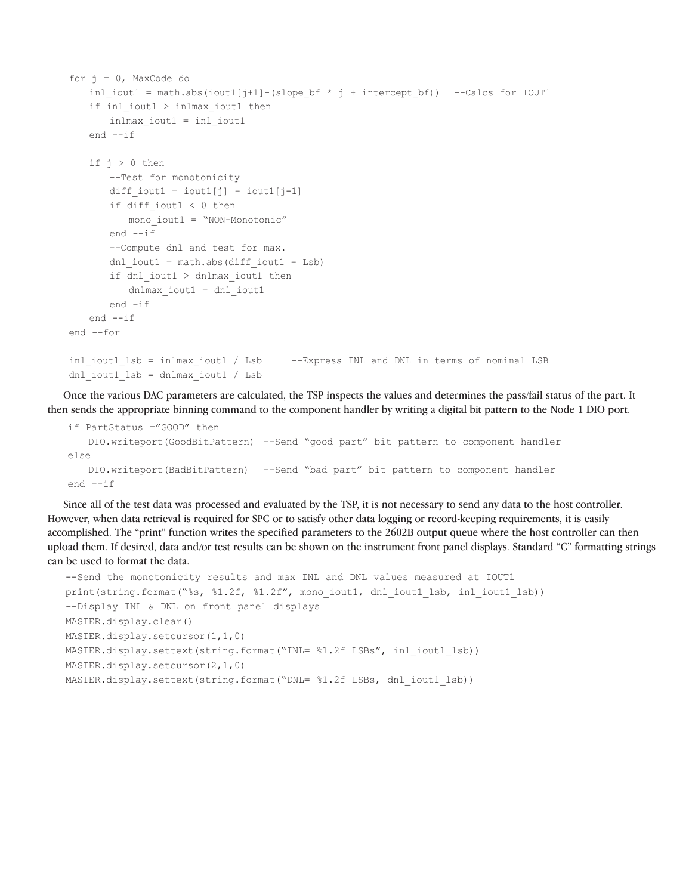```
for j = 0, MaxCode do
   inl iout1 = math.abs(iout1[j+1]-(slope bf * j + intercept bf)) --Calcs for IOUT1
   if inl iout1 > inlmax iout1 then
        inlmax_iout1 = inl_iout1
    end --if
   if j > 0 then
        --Test for monotonicity
       diff iout1 = iout1[j] - iout1[j-1]
       if diff iout1 < 0 then
           mono_iout1 = "NON-Monotonic"
        end --if
        --Compute dnl and test for max.
       dnl iout1 = math.abs(diff iout1 - Lsb)
       if dnl iout1 > dnlmax iout1 then
           dnlmax_iout1 = dnl_iout1
        end –if
    end --if
end --for
inl iout1 lsb = inlmax iout1 / Lsb --Express INL and DNL in terms of nominal LSB
dnl iout1 lsb = dnlmax iout1 / Lsb
```
Once the various DAC parameters are calculated, the TSP inspects the values and determines the pass/fail status of the part. It then sends the appropriate binning command to the component handler by writing a digital bit pattern to the Node 1 DIO port.

```
if PartStatus ="GOOD" then
    DIO.writeport(GoodBitPattern) --Send "good part" bit pattern to component handler
else
    DIO.writeport(BadBitPattern) --Send "bad part" bit pattern to component handler
end --if
```
Since all of the test data was processed and evaluated by the TSP, it is not necessary to send any data to the host controller. However, when data retrieval is required for SPC or to satisfy other data logging or record-keeping requirements, it is easily accomplished. The "print" function writes the specified parameters to the 2602B output queue where the host controller can then upload them. If desired, data and/or test results can be shown on the instrument front panel displays. Standard "C" formatting strings can be used to format the data.

```
--Send the monotonicity results and max INL and DNL values measured at IOUT1
print(string.format("%s, %1.2f, %1.2f", mono_iout1, dnl_iout1_lsb, inl_iout1_lsb))
--Display INL & DNL on front panel displays
MASTER.display.clear()
MASTER.display.setcursor(1,1,0)
MASTER.display.settext(string.format("INL= %1.2f LSBs", inl iout1 lsb))
MASTER.display.setcursor(2,1,0)
MASTER.display.settext(string.format("DNL= %1.2f LSBs, dnl iout1_lsb))
```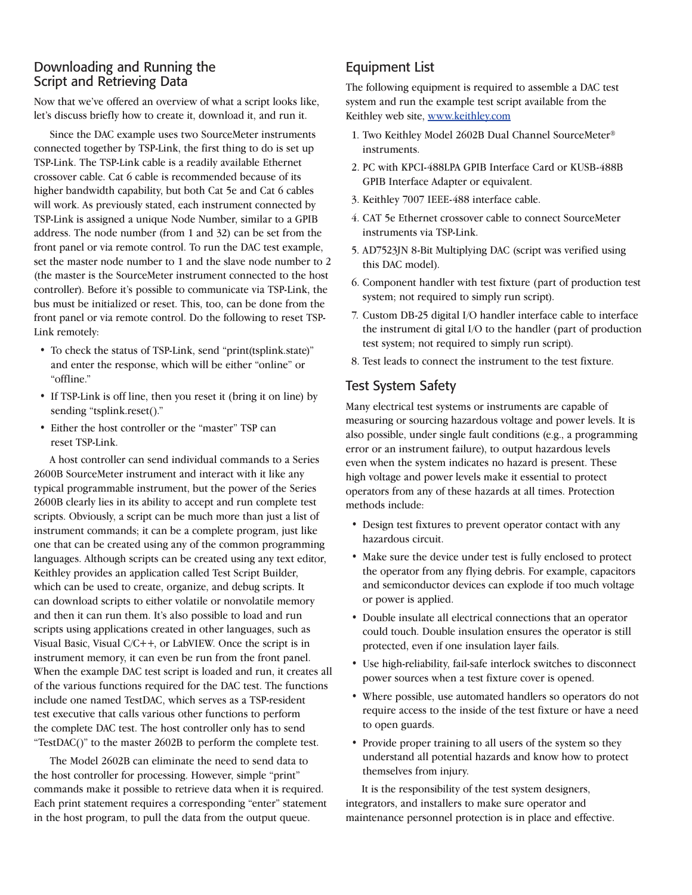## Downloading and Running the Script and Retrieving Data

Now that we've offered an overview of what a script looks like, let's discuss briefly how to create it, download it, and run it.

Since the DAC example uses two SourceMeter instruments connected together by TSP-Link, the first thing to do is set up TSP-Link. The TSP-Link cable is a readily available Ethernet crossover cable. Cat 6 cable is recommended because of its higher bandwidth capability, but both Cat 5e and Cat 6 cables will work. As previously stated, each instrument connected by TSP-Link is assigned a unique Node Number, similar to a GPIB address. The node number (from 1 and 32) can be set from the front panel or via remote control. To run the DAC test example, set the master node number to 1 and the slave node number to 2 (the master is the SourceMeter instrument connected to the host controller). Before it's possible to communicate via TSP-Link, the bus must be initialized or reset. This, too, can be done from the front panel or via remote control. Do the following to reset TSP-Link remotely:

- To check the status of TSP-Link, send "print(tsplink.state)" and enter the response, which will be either "online" or "offline."
- If TSP-Link is off line, then you reset it (bring it on line) by sending "tsplink.reset()."
- Either the host controller or the "master" TSP can reset TSP-Link.

A host controller can send individual commands to a Series 2600B SourceMeter instrument and interact with it like any typical programmable instrument, but the power of the Series 2600B clearly lies in its ability to accept and run complete test scripts. Obviously, a script can be much more than just a list of instrument commands; it can be a complete program, just like one that can be created using any of the common programming languages. Although scripts can be created using any text editor, Keithley provides an application called Test Script Builder, which can be used to create, organize, and debug scripts. It can download scripts to either volatile or nonvolatile memory and then it can run them. It's also possible to load and run scripts using applications created in other languages, such as Visual Basic, Visual C/C++, or LabVIEW. Once the script is in instrument memory, it can even be run from the front panel. When the example DAC test script is loaded and run, it creates all of the various functions required for the DAC test. The functions include one named TestDAC, which serves as a TSP-resident test executive that calls various other functions to perform the complete DAC test. The host controller only has to send "TestDAC()" to the master 2602B to perform the complete test.

The Model 2602B can eliminate the need to send data to the host controller for processing. However, simple "print" commands make it possible to retrieve data when it is required. Each print statement requires a corresponding "enter" statement in the host program, to pull the data from the output queue.

## Equipment List

The following equipment is required to assemble a DAC test system and run the example test script available from the Keithley web site, www.keithley.com.

- 1. Two Keithley Model 2602B Dual Channel SourceMeter® instruments.
- 2. PC with KPCI-488LPA GPIB Interface Card or KUSB-488B GPIB Interface Adapter or equivalent.
- 3. Keithley 7007 IEEE-488 interface cable.
- 4. CAT 5e Ethernet crossover cable to connect SourceMeter instruments via TSP-Link.
- 5. AD7523JN 8-Bit Multiplying DAC (script was verified using this DAC model).
- 6. Component handler with test fixture (part of production test system; not required to simply run script).
- 7. Custom DB-25 digital I/O handler interface cable to interface the instrument di gital I/O to the handler (part of production test system; not required to simply run script).
- 8. Test leads to connect the instrument to the test fixture.

#### Test System Safety

Many electrical test systems or instruments are capable of measuring or sourcing hazardous voltage and power levels. It is also possible, under single fault conditions (e.g., a programming error or an instrument failure), to output hazardous levels even when the system indicates no hazard is present. These high voltage and power levels make it essential to protect operators from any of these hazards at all times. Protection methods include:

- Design test fixtures to prevent operator contact with any hazardous circuit.
- Make sure the device under test is fully enclosed to protect the operator from any flying debris. For example, capacitors and semiconductor devices can explode if too much voltage or power is applied.
- Double insulate all electrical connections that an operator could touch. Double insulation ensures the operator is still protected, even if one insulation layer fails.
- • Use high-reliability, fail-safe interlock switches to disconnect power sources when a test fixture cover is opened.
- • Where possible, use automated handlers so operators do not require access to the inside of the test fixture or have a need to open guards.
- Provide proper training to all users of the system so they understand all potential hazards and know how to protect themselves from injury.

It is the responsibility of the test system designers, integrators, and installers to make sure operator and maintenance personnel protection is in place and effective.